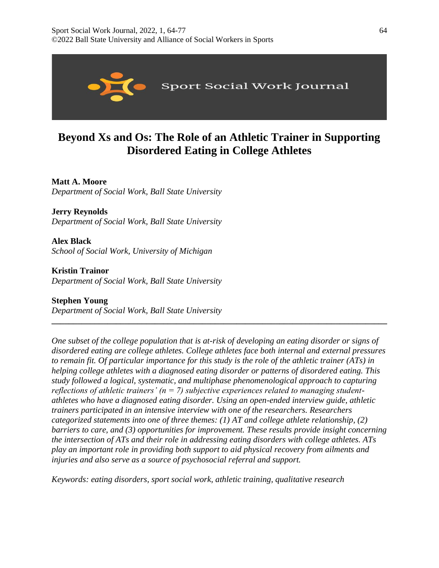

# **Beyond Xs and Os: The Role of an Athletic Trainer in Supporting Disordered Eating in College Athletes**

# **Matt A. Moore**

*Department of Social Work, Ball State University* 

**Jerry Reynolds** *Department of Social Work, Ball State University* 

**Alex Black** *School of Social Work, University of Michigan* 

**Kristin Trainor** *Department of Social Work, Ball State University* 

# **Stephen Young**

*Department of Social Work, Ball State University* 

*One subset of the college population that is at-risk of developing an eating disorder or signs of disordered eating are college athletes. College athletes face both internal and external pressures to remain fit. Of particular importance for this study is the role of the athletic trainer (ATs) in helping college athletes with a diagnosed eating disorder or patterns of disordered eating. This study followed a logical, systematic, and multiphase phenomenological approach to capturing reflections of athletic trainers' (n = 7) subjective experiences related to managing studentathletes who have a diagnosed eating disorder. Using an open-ended interview guide, athletic trainers participated in an intensive interview with one of the researchers. Researchers categorized statements into one of three themes: (1) AT and college athlete relationship, (2) barriers to care, and (3) opportunities for improvement. These results provide insight concerning the intersection of ATs and their role in addressing eating disorders with college athletes. ATs play an important role in providing both support to aid physical recovery from ailments and injuries and also serve as a source of psychosocial referral and support.*

**\_\_\_\_\_\_\_\_\_\_\_\_\_\_\_\_\_\_\_\_\_\_\_\_\_\_\_\_\_\_\_\_\_\_\_\_\_\_\_\_\_\_\_\_\_\_\_\_\_\_\_\_\_\_\_\_\_\_\_\_\_\_\_\_\_\_\_\_\_\_\_\_\_\_\_\_\_\_**

*Keywords: eating disorders, sport social work, athletic training, qualitative research*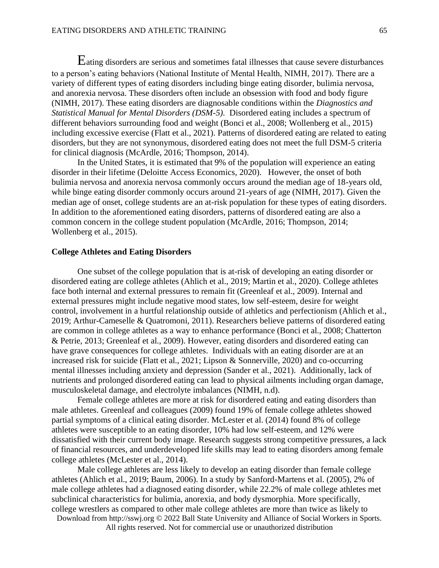Eating disorders are serious and sometimes fatal illnesses that cause severe disturbances to a person's eating behaviors (National Institute of Mental Health, NIMH, 2017). There are a variety of different types of eating disorders including binge eating disorder, bulimia nervosa, and anorexia nervosa. These disorders often include an obsession with food and body figure (NIMH, 2017). These eating disorders are diagnosable conditions within the *Diagnostics and Statistical Manual for Mental Disorders (DSM-5).* Disordered eating includes a spectrum of different behaviors surrounding food and weight (Bonci et al., 2008; Wollenberg et al., 2015) including excessive exercise (Flatt et al., 2021). Patterns of disordered eating are related to eating disorders, but they are not synonymous, disordered eating does not meet the full DSM-5 criteria for clinical diagnosis (McArdle, 2016; Thompson, 2014).

In the United States, it is estimated that 9% of the population will experience an eating disorder in their lifetime (Deloitte Access Economics, 2020). However, the onset of both bulimia nervosa and anorexia nervosa commonly occurs around the median age of 18-years old, while binge eating disorder commonly occurs around 21-years of age (NIMH, 2017). Given the median age of onset, college students are an at-risk population for these types of eating disorders. In addition to the aforementioned eating disorders, patterns of disordered eating are also a common concern in the college student population (McArdle, 2016; Thompson, 2014; Wollenberg et al., 2015).

#### **College Athletes and Eating Disorders**

One subset of the college population that is at-risk of developing an eating disorder or disordered eating are college athletes (Ahlich et al., 2019; Martin et al., 2020). College athletes face both internal and external pressures to remain fit (Greenleaf et al., 2009). Internal and external pressures might include negative mood states, low self-esteem, desire for weight control, involvement in a hurtful relationship outside of athletics and perfectionism (Ahlich et al., 2019; Arthur-Cameselle & Quatromoni, 2011). Researchers believe patterns of disordered eating are common in college athletes as a way to enhance performance (Bonci et al., 2008; Chatterton & Petrie, 2013; Greenleaf et al., 2009). However, eating disorders and disordered eating can have grave consequences for college athletes. Individuals with an eating disorder are at an increased risk for suicide (Flatt et al., 2021; Lipson & Sonnerville, 2020) and co-occurring mental illnesses including anxiety and depression (Sander et al., 2021). Additionally, lack of nutrients and prolonged disordered eating can lead to physical ailments including organ damage, musculoskeletal damage, and electrolyte imbalances (NIMH, n.d).

Female college athletes are more at risk for disordered eating and eating disorders than male athletes. Greenleaf and colleagues (2009) found 19% of female college athletes showed partial symptoms of a clinical eating disorder. McLester et al. (2014) found 8% of college athletes were susceptible to an eating disorder, 10% had low self-esteem, and 12% were dissatisfied with their current body image. Research suggests strong competitive pressures, a lack of financial resources, and underdeveloped life skills may lead to eating disorders among female college athletes (McLester et al., 2014).

Male college athletes are less likely to develop an eating disorder than female college athletes (Ahlich et al., 2019; Baum, 2006). In a study by Sanford-Martens et al. (2005), 2% of male college athletes had a diagnosed eating disorder, while 22.2% of male college athletes met subclinical characteristics for bulimia, anorexia, and body dysmorphia. More specifically, college wrestlers as compared to other male college athletes are more than twice as likely to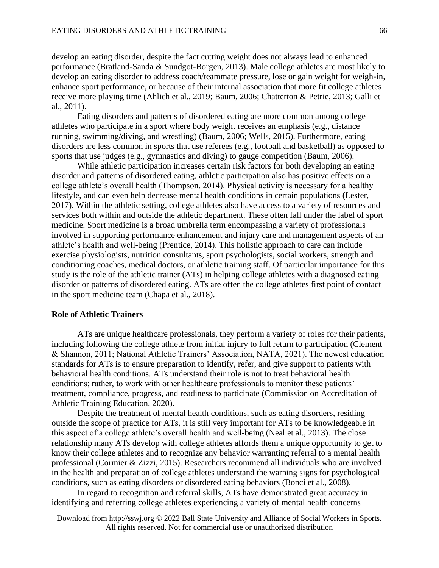develop an eating disorder, despite the fact cutting weight does not always lead to enhanced performance (Bratland-Sanda & Sundgot-Borgen, 2013). Male college athletes are most likely to develop an eating disorder to address coach/teammate pressure, lose or gain weight for weigh-in, enhance sport performance, or because of their internal association that more fit college athletes receive more playing time (Ahlich et al., 2019; Baum, 2006; Chatterton & Petrie, 2013; Galli et al., 2011).

Eating disorders and patterns of disordered eating are more common among college athletes who participate in a sport where body weight receives an emphasis (e.g., distance running, swimming/diving, and wrestling) (Baum, 2006; Wells, 2015). Furthermore, eating disorders are less common in sports that use referees (e.g., football and basketball) as opposed to sports that use judges (e.g., gymnastics and diving) to gauge competition (Baum, 2006).

While athletic participation increases certain risk factors for both developing an eating disorder and patterns of disordered eating, athletic participation also has positive effects on a college athlete's overall health (Thompson, 2014). Physical activity is necessary for a healthy lifestyle, and can even help decrease mental health conditions in certain populations (Lester, 2017). Within the athletic setting, college athletes also have access to a variety of resources and services both within and outside the athletic department. These often fall under the label of sport medicine. Sport medicine is a broad umbrella term encompassing a variety of professionals involved in supporting performance enhancement and injury care and management aspects of an athlete's health and well-being (Prentice, 2014). This holistic approach to care can include exercise physiologists, nutrition consultants, sport psychologists, social workers, strength and conditioning coaches, medical doctors, or athletic training staff. Of particular importance for this study is the role of the athletic trainer (ATs) in helping college athletes with a diagnosed eating disorder or patterns of disordered eating. ATs are often the college athletes first point of contact in the sport medicine team (Chapa et al., 2018).

# **Role of Athletic Trainers**

ATs are unique healthcare professionals, they perform a variety of roles for their patients, including following the college athlete from initial injury to full return to participation (Clement & Shannon, 2011; National Athletic Trainers' Association, NATA, 2021). The newest education standards for ATs is to ensure preparation to identify, refer, and give support to patients with behavioral health conditions. ATs understand their role is not to treat behavioral health conditions; rather, to work with other healthcare professionals to monitor these patients' treatment, compliance, progress, and readiness to participate (Commission on Accreditation of Athletic Training Education, 2020).

Despite the treatment of mental health conditions, such as eating disorders, residing outside the scope of practice for ATs, it is still very important for ATs to be knowledgeable in this aspect of a college athlete's overall health and well-being (Neal et al., 2013). The close relationship many ATs develop with college athletes affords them a unique opportunity to get to know their college athletes and to recognize any behavior warranting referral to a mental health professional (Cormier & Zizzi, 2015). Researchers recommend all individuals who are involved in the health and preparation of college athletes understand the warning signs for psychological conditions, such as eating disorders or disordered eating behaviors (Bonci et al., 2008).

In regard to recognition and referral skills, ATs have demonstrated great accuracy in identifying and referring college athletes experiencing a variety of mental health concerns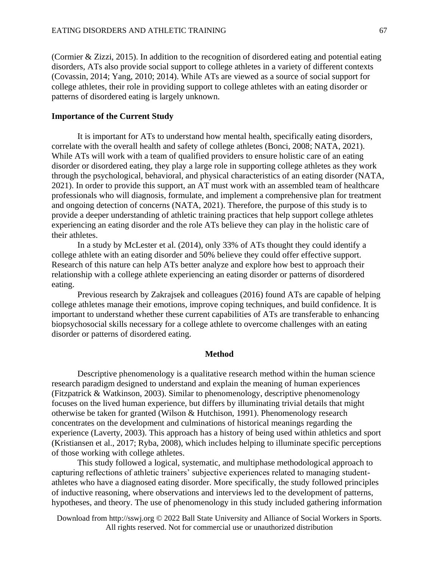(Cormier & Zizzi, 2015). In addition to the recognition of disordered eating and potential eating disorders, ATs also provide social support to college athletes in a variety of different contexts (Covassin, 2014; Yang, 2010; 2014). While ATs are viewed as a source of social support for college athletes, their role in providing support to college athletes with an eating disorder or patterns of disordered eating is largely unknown.

## **Importance of the Current Study**

It is important for ATs to understand how mental health, specifically eating disorders, correlate with the overall health and safety of college athletes (Bonci, 2008; NATA, 2021). While ATs will work with a team of qualified providers to ensure holistic care of an eating disorder or disordered eating, they play a large role in supporting college athletes as they work through the psychological, behavioral, and physical characteristics of an eating disorder (NATA, 2021). In order to provide this support, an AT must work with an assembled team of healthcare professionals who will diagnosis, formulate, and implement a comprehensive plan for treatment and ongoing detection of concerns (NATA, 2021). Therefore, the purpose of this study is to provide a deeper understanding of athletic training practices that help support college athletes experiencing an eating disorder and the role ATs believe they can play in the holistic care of their athletes.

In a study by McLester et al. (2014), only 33% of ATs thought they could identify a college athlete with an eating disorder and 50% believe they could offer effective support. Research of this nature can help ATs better analyze and explore how best to approach their relationship with a college athlete experiencing an eating disorder or patterns of disordered eating.

Previous research by Zakrajsek and colleagues (2016) found ATs are capable of helping college athletes manage their emotions, improve coping techniques, and build confidence. It is important to understand whether these current capabilities of ATs are transferable to enhancing biopsychosocial skills necessary for a college athlete to overcome challenges with an eating disorder or patterns of disordered eating.

#### **Method**

Descriptive phenomenology is a qualitative research method within the human science research paradigm designed to understand and explain the meaning of human experiences (Fitzpatrick & Watkinson, 2003). Similar to phenomenology, descriptive phenomenology focuses on the lived human experience, but differs by illuminating trivial details that might otherwise be taken for granted (Wilson & Hutchison, 1991). Phenomenology research concentrates on the development and culminations of historical meanings regarding the experience (Laverty, 2003). This approach has a history of being used within athletics and sport (Kristiansen et al., 2017; Ryba, 2008), which includes helping to illuminate specific perceptions of those working with college athletes.

This study followed a logical, systematic, and multiphase methodological approach to capturing reflections of athletic trainers' subjective experiences related to managing studentathletes who have a diagnosed eating disorder. More specifically, the study followed principles of inductive reasoning, where observations and interviews led to the development of patterns, hypotheses, and theory. The use of phenomenology in this study included gathering information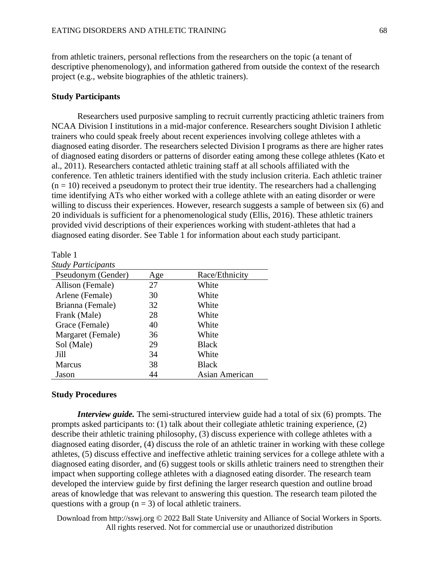from athletic trainers, personal reflections from the researchers on the topic (a tenant of descriptive phenomenology), and information gathered from outside the context of the research project (e.g., website biographies of the athletic trainers).

#### **Study Participants**

Researchers used purposive sampling to recruit currently practicing athletic trainers from NCAA Division I institutions in a mid-major conference. Researchers sought Division I athletic trainers who could speak freely about recent experiences involving college athletes with a diagnosed eating disorder. The researchers selected Division I programs as there are higher rates of diagnosed eating disorders or patterns of disorder eating among these college athletes (Kato et al., 2011). Researchers contacted athletic training staff at all schools affiliated with the conference. Ten athletic trainers identified with the study inclusion criteria. Each athletic trainer  $(n = 10)$  received a pseudonym to protect their true identity. The researchers had a challenging time identifying ATs who either worked with a college athlete with an eating disorder or were willing to discuss their experiences. However, research suggests a sample of between six (6) and 20 individuals is sufficient for a phenomenological study (Ellis, 2016). These athletic trainers provided vivid descriptions of their experiences working with student-athletes that had a diagnosed eating disorder. See Table 1 for information about each study participant.

#### Table 1

| <b>Study Participants</b> |
|---------------------------|
| Pseudonym (Gender)        |

| Pseudonym (Gender) | Age | Race/Ethnicity |
|--------------------|-----|----------------|
| Allison (Female)   | 27  | White          |
| Arlene (Female)    | 30  | White          |
| Brianna (Female)   | 32  | White          |
| Frank (Male)       | 28  | White          |
| Grace (Female)     | 40  | White          |
| Margaret (Female)  | 36  | White          |
| Sol (Male)         | 29  | <b>Black</b>   |
| Jill               | 34  | White          |
| <b>Marcus</b>      | 38  | <b>Black</b>   |
| Jason              | 44  | Asian American |

#### **Study Procedures**

*Interview guide.* The semi-structured interview guide had a total of six (6) prompts. The prompts asked participants to: (1) talk about their collegiate athletic training experience, (2) describe their athletic training philosophy, (3) discuss experience with college athletes with a diagnosed eating disorder, (4) discuss the role of an athletic trainer in working with these college athletes, (5) discuss effective and ineffective athletic training services for a college athlete with a diagnosed eating disorder, and (6) suggest tools or skills athletic trainers need to strengthen their impact when supporting college athletes with a diagnosed eating disorder. The research team developed the interview guide by first defining the larger research question and outline broad areas of knowledge that was relevant to answering this question. The research team piloted the questions with a group  $(n = 3)$  of local athletic trainers.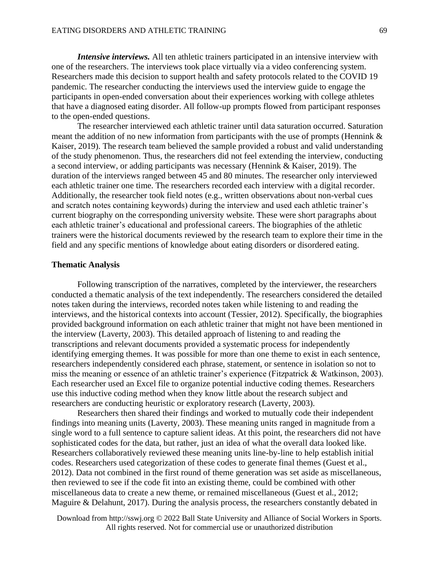*Intensive interviews.* All ten athletic trainers participated in an intensive interview with one of the researchers. The interviews took place virtually via a video conferencing system. Researchers made this decision to support health and safety protocols related to the COVID 19 pandemic. The researcher conducting the interviews used the interview guide to engage the participants in open-ended conversation about their experiences working with college athletes that have a diagnosed eating disorder. All follow-up prompts flowed from participant responses to the open-ended questions.

The researcher interviewed each athletic trainer until data saturation occurred. Saturation meant the addition of no new information from participants with the use of prompts (Hennink  $\&$ Kaiser, 2019). The research team believed the sample provided a robust and valid understanding of the study phenomenon. Thus, the researchers did not feel extending the interview, conducting a second interview, or adding participants was necessary (Hennink & Kaiser, 2019). The duration of the interviews ranged between 45 and 80 minutes. The researcher only interviewed each athletic trainer one time. The researchers recorded each interview with a digital recorder. Additionally, the researcher took field notes (e.g., written observations about non-verbal cues and scratch notes containing keywords) during the interview and used each athletic trainer's current biography on the corresponding university website. These were short paragraphs about each athletic trainer's educational and professional careers. The biographies of the athletic trainers were the historical documents reviewed by the research team to explore their time in the field and any specific mentions of knowledge about eating disorders or disordered eating.

#### **Thematic Analysis**

Following transcription of the narratives, completed by the interviewer, the researchers conducted a thematic analysis of the text independently. The researchers considered the detailed notes taken during the interviews, recorded notes taken while listening to and reading the interviews, and the historical contexts into account (Tessier, 2012). Specifically, the biographies provided background information on each athletic trainer that might not have been mentioned in the interview (Laverty, 2003). This detailed approach of listening to and reading the transcriptions and relevant documents provided a systematic process for independently identifying emerging themes. It was possible for more than one theme to exist in each sentence, researchers independently considered each phrase, statement, or sentence in isolation so not to miss the meaning or essence of an athletic trainer's experience (Fitzpatrick & Watkinson, 2003). Each researcher used an Excel file to organize potential inductive coding themes. Researchers use this inductive coding method when they know little about the research subject and researchers are conducting heuristic or exploratory research (Laverty, 2003).

Researchers then shared their findings and worked to mutually code their independent findings into meaning units (Laverty, 2003). These meaning units ranged in magnitude from a single word to a full sentence to capture salient ideas. At this point, the researchers did not have sophisticated codes for the data, but rather, just an idea of what the overall data looked like. Researchers collaboratively reviewed these meaning units line-by-line to help establish initial codes. Researchers used categorization of these codes to generate final themes (Guest et al., 2012). Data not combined in the first round of theme generation was set aside as miscellaneous, then reviewed to see if the code fit into an existing theme, could be combined with other miscellaneous data to create a new theme, or remained miscellaneous (Guest et al., 2012; Maguire & Delahunt, 2017). During the analysis process, the researchers constantly debated in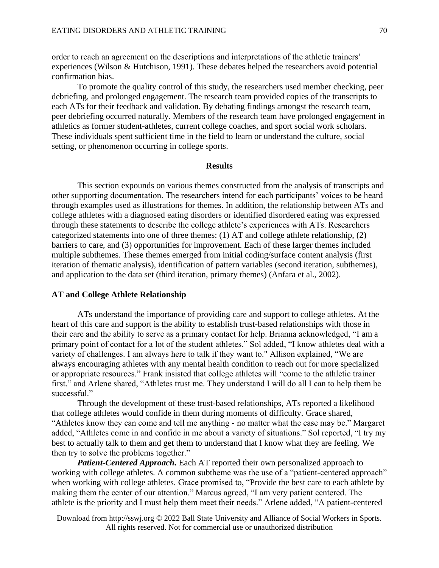order to reach an agreement on the descriptions and interpretations of the athletic trainers' experiences (Wilson & Hutchison, 1991). These debates helped the researchers avoid potential confirmation bias.

To promote the quality control of this study, the researchers used member checking, peer debriefing, and prolonged engagement. The research team provided copies of the transcripts to each ATs for their feedback and validation. By debating findings amongst the research team, peer debriefing occurred naturally. Members of the research team have prolonged engagement in athletics as former student-athletes, current college coaches, and sport social work scholars. These individuals spent sufficient time in the field to learn or understand the culture, social setting, or phenomenon occurring in college sports.

#### **Results**

This section expounds on various themes constructed from the analysis of transcripts and other supporting documentation. The researchers intend for each participants' voices to be heard through examples used as illustrations for themes. In addition, the relationship between ATs and college athletes with a diagnosed eating disorders or identified disordered eating was expressed through these statements to describe the college athlete's experiences with ATs. Researchers categorized statements into one of three themes: (1) AT and college athlete relationship, (2) barriers to care, and (3) opportunities for improvement. Each of these larger themes included multiple subthemes. These themes emerged from initial coding/surface content analysis (first iteration of thematic analysis), identification of pattern variables (second iteration, subthemes), and application to the data set (third iteration, primary themes) (Anfara et al., 2002).

#### **AT and College Athlete Relationship**

ATs understand the importance of providing care and support to college athletes. At the heart of this care and support is the ability to establish trust-based relationships with those in their care and the ability to serve as a primary contact for help. Brianna acknowledged, "I am a primary point of contact for a lot of the student athletes." Sol added, "I know athletes deal with a variety of challenges. I am always here to talk if they want to." Allison explained, "We are always encouraging athletes with any mental health condition to reach out for more specialized or appropriate resources." Frank insisted that college athletes will "come to the athletic trainer first." and Arlene shared, "Athletes trust me. They understand I will do all I can to help them be successful."

Through the development of these trust-based relationships, ATs reported a likelihood that college athletes would confide in them during moments of difficulty. Grace shared, "Athletes know they can come and tell me anything - no matter what the case may be." Margaret added, "Athletes come in and confide in me about a variety of situations." Sol reported, "I try my best to actually talk to them and get them to understand that I know what they are feeling. We then try to solve the problems together."

*Patient-Centered Approach.* Each AT reported their own personalized approach to working with college athletes. A common subtheme was the use of a "patient-centered approach" when working with college athletes. Grace promised to, "Provide the best care to each athlete by making them the center of our attention." Marcus agreed, "I am very patient centered. The athlete is the priority and I must help them meet their needs." Arlene added, "A patient-centered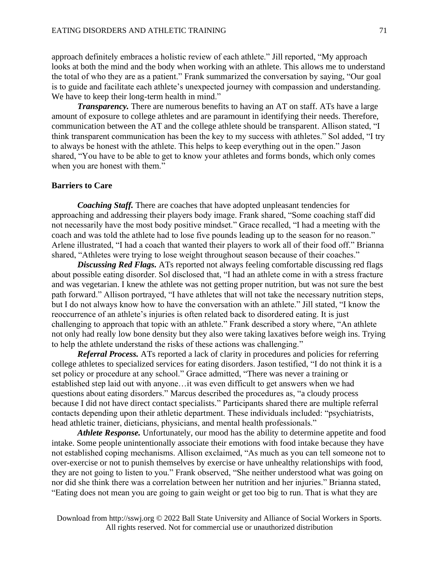approach definitely embraces a holistic review of each athlete." Jill reported, "My approach looks at both the mind and the body when working with an athlete. This allows me to understand the total of who they are as a patient." Frank summarized the conversation by saying, "Our goal is to guide and facilitate each athlete's unexpected journey with compassion and understanding. We have to keep their long-term health in mind."

*Transparency*. There are numerous benefits to having an AT on staff. ATs have a large amount of exposure to college athletes and are paramount in identifying their needs. Therefore, communication between the AT and the college athlete should be transparent. Allison stated, "I think transparent communication has been the key to my success with athletes." Sol added, "I try to always be honest with the athlete. This helps to keep everything out in the open." Jason shared, "You have to be able to get to know your athletes and forms bonds, which only comes when you are honest with them."

#### **Barriers to Care**

*Coaching Staff.* There are coaches that have adopted unpleasant tendencies for approaching and addressing their players body image. Frank shared, "Some coaching staff did not necessarily have the most body positive mindset." Grace recalled, "I had a meeting with the coach and was told the athlete had to lose five pounds leading up to the season for no reason." Arlene illustrated, "I had a coach that wanted their players to work all of their food off." Brianna shared, "Athletes were trying to lose weight throughout season because of their coaches."

*Discussing Red Flags.* ATs reported not always feeling comfortable discussing red flags about possible eating disorder. Sol disclosed that, "I had an athlete come in with a stress fracture and was vegetarian. I knew the athlete was not getting proper nutrition, but was not sure the best path forward." Allison portrayed, "I have athletes that will not take the necessary nutrition steps, but I do not always know how to have the conversation with an athlete." Jill stated, "I know the reoccurrence of an athlete's injuries is often related back to disordered eating. It is just challenging to approach that topic with an athlete." Frank described a story where, "An athlete not only had really low bone density but they also were taking laxatives before weigh ins. Trying to help the athlete understand the risks of these actions was challenging."

*Referral Process.* ATs reported a lack of clarity in procedures and policies for referring college athletes to specialized services for eating disorders. Jason testified, "I do not think it is a set policy or procedure at any school." Grace admitted, "There was never a training or established step laid out with anyone…it was even difficult to get answers when we had questions about eating disorders." Marcus described the procedures as, "a cloudy process because I did not have direct contact specialists." Participants shared there are multiple referral contacts depending upon their athletic department. These individuals included: "psychiatrists, head athletic trainer, dieticians, physicians, and mental health professionals."

*Athlete Response.* Unfortunately, our mood has the ability to determine appetite and food intake. Some people unintentionally associate their emotions with food intake because they have not established coping mechanisms. Allison exclaimed, "As much as you can tell someone not to over-exercise or not to punish themselves by exercise or have unhealthy relationships with food, they are not going to listen to you." Frank observed, "She neither understood what was going on nor did she think there was a correlation between her nutrition and her injuries." Brianna stated, "Eating does not mean you are going to gain weight or get too big to run. That is what they are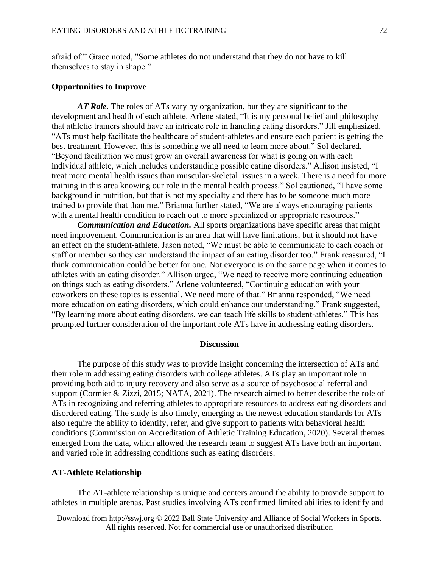afraid of." Grace noted, "Some athletes do not understand that they do not have to kill themselves to stay in shape."

#### **Opportunities to Improve**

*AT Role.* The roles of ATs vary by organization, but they are significant to the development and health of each athlete. Arlene stated, "It is my personal belief and philosophy that athletic trainers should have an intricate role in handling eating disorders." Jill emphasized, "ATs must help facilitate the healthcare of student-athletes and ensure each patient is getting the best treatment. However, this is something we all need to learn more about." Sol declared, "Beyond facilitation we must grow an overall awareness for what is going on with each individual athlete, which includes understanding possible eating disorders." Allison insisted, "I treat more mental health issues than muscular-skeletal issues in a week. There is a need for more training in this area knowing our role in the mental health process." Sol cautioned, "I have some background in nutrition, but that is not my specialty and there has to be someone much more trained to provide that than me." Brianna further stated, "We are always encouraging patients with a mental health condition to reach out to more specialized or appropriate resources."

*Communication and Education.* All sports organizations have specific areas that might need improvement. Communication is an area that will have limitations, but it should not have an effect on the student-athlete. Jason noted, "We must be able to communicate to each coach or staff or member so they can understand the impact of an eating disorder too." Frank reassured, "I think communication could be better for one. Not everyone is on the same page when it comes to athletes with an eating disorder." Allison urged, "We need to receive more continuing education on things such as eating disorders." Arlene volunteered, "Continuing education with your coworkers on these topics is essential. We need more of that." Brianna responded, "We need more education on eating disorders, which could enhance our understanding." Frank suggested, "By learning more about eating disorders, we can teach life skills to student-athletes." This has prompted further consideration of the important role ATs have in addressing eating disorders.

#### **Discussion**

The purpose of this study was to provide insight concerning the intersection of ATs and their role in addressing eating disorders with college athletes. ATs play an important role in providing both aid to injury recovery and also serve as a source of psychosocial referral and support (Cormier & Zizzi, 2015; NATA, 2021). The research aimed to better describe the role of ATs in recognizing and referring athletes to appropriate resources to address eating disorders and disordered eating. The study is also timely, emerging as the newest education standards for ATs also require the ability to identify, refer, and give support to patients with behavioral health conditions (Commission on Accreditation of Athletic Training Education, 2020). Several themes emerged from the data, which allowed the research team to suggest ATs have both an important and varied role in addressing conditions such as eating disorders.

## **AT-Athlete Relationship**

The AT-athlete relationship is unique and centers around the ability to provide support to athletes in multiple arenas. Past studies involving ATs confirmed limited abilities to identify and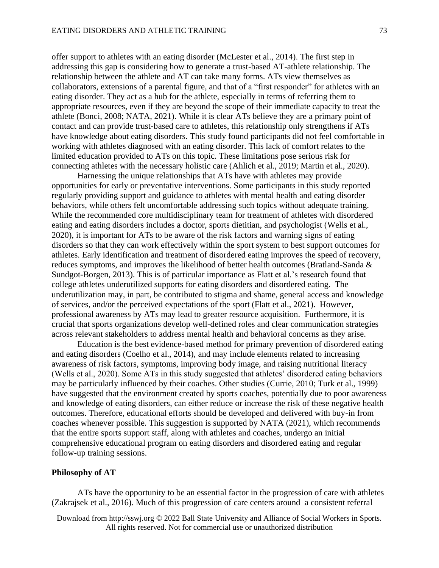offer support to athletes with an eating disorder (McLester et al., 2014). The first step in addressing this gap is considering how to generate a trust-based AT-athlete relationship. The relationship between the athlete and AT can take many forms. ATs view themselves as collaborators, extensions of a parental figure, and that of a "first responder" for athletes with an eating disorder. They act as a hub for the athlete, especially in terms of referring them to appropriate resources, even if they are beyond the scope of their immediate capacity to treat the athlete (Bonci, 2008; NATA, 2021). While it is clear ATs believe they are a primary point of contact and can provide trust-based care to athletes, this relationship only strengthens if ATs have knowledge about eating disorders. This study found participants did not feel comfortable in working with athletes diagnosed with an eating disorder. This lack of comfort relates to the limited education provided to ATs on this topic. These limitations pose serious risk for connecting athletes with the necessary holistic care (Ahlich et al., 2019; Martin et al., 2020).

Harnessing the unique relationships that ATs have with athletes may provide opportunities for early or preventative interventions. Some participants in this study reported regularly providing support and guidance to athletes with mental health and eating disorder behaviors, while others felt uncomfortable addressing such topics without adequate training. While the recommended core multidisciplinary team for treatment of athletes with disordered eating and eating disorders includes a doctor, sports dietitian, and psychologist (Wells et al., 2020), it is important for ATs to be aware of the risk factors and warning signs of eating disorders so that they can work effectively within the sport system to best support outcomes for athletes. Early identification and treatment of disordered eating improves the speed of recovery, reduces symptoms, and improves the likelihood of better health outcomes (Bratland-Sanda & Sundgot-Borgen, 2013). This is of particular importance as Flatt et al.'s research found that college athletes underutilized supports for eating disorders and disordered eating. The underutilization may, in part, be contributed to stigma and shame, general access and knowledge of services, and/or the perceived expectations of the sport (Flatt et al., 2021). However, professional awareness by ATs may lead to greater resource acquisition. Furthermore, it is crucial that sports organizations develop well-defined roles and clear communication strategies across relevant stakeholders to address mental health and behavioral concerns as they arise.

Education is the best evidence-based method for primary prevention of disordered eating and eating disorders (Coelho et al., 2014), and may include elements related to increasing awareness of risk factors, symptoms, improving body image, and raising nutritional literacy (Wells et al., 2020). Some ATs in this study suggested that athletes' disordered eating behaviors may be particularly influenced by their coaches. Other studies (Currie, 2010; Turk et al., 1999) have suggested that the environment created by sports coaches, potentially due to poor awareness and knowledge of eating disorders, can either reduce or increase the risk of these negative health outcomes. Therefore, educational efforts should be developed and delivered with buy-in from coaches whenever possible. This suggestion is supported by NATA (2021), which recommends that the entire sports support staff, along with athletes and coaches, undergo an initial comprehensive educational program on eating disorders and disordered eating and regular follow-up training sessions.

#### **Philosophy of AT**

ATs have the opportunity to be an essential factor in the progression of care with athletes (Zakrajsek et al., 2016). Much of this progression of care centers around a consistent referral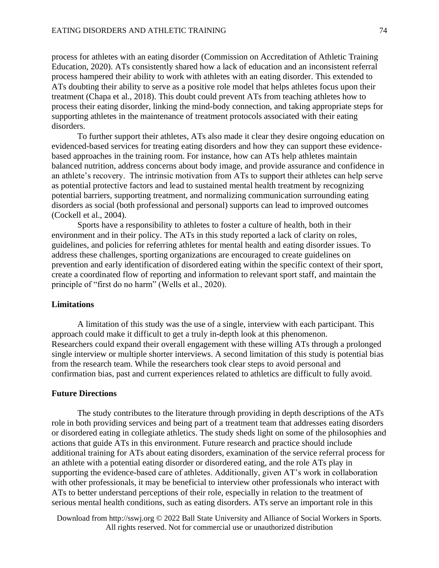process for athletes with an eating disorder (Commission on Accreditation of Athletic Training Education, 2020). ATs consistently shared how a lack of education and an inconsistent referral process hampered their ability to work with athletes with an eating disorder. This extended to ATs doubting their ability to serve as a positive role model that helps athletes focus upon their treatment (Chapa et al., 2018). This doubt could prevent ATs from teaching athletes how to process their eating disorder, linking the mind-body connection, and taking appropriate steps for supporting athletes in the maintenance of treatment protocols associated with their eating disorders.

To further support their athletes, ATs also made it clear they desire ongoing education on evidenced-based services for treating eating disorders and how they can support these evidencebased approaches in the training room. For instance, how can ATs help athletes maintain balanced nutrition, address concerns about body image, and provide assurance and confidence in an athlete's recovery. The intrinsic motivation from ATs to support their athletes can help serve as potential protective factors and lead to sustained mental health treatment by recognizing potential barriers, supporting treatment, and normalizing communication surrounding eating disorders as social (both professional and personal) supports can lead to improved outcomes (Cockell et al., 2004).

Sports have a responsibility to athletes to foster a culture of health, both in their environment and in their policy. The ATs in this study reported a lack of clarity on roles, guidelines, and policies for referring athletes for mental health and eating disorder issues. To address these challenges, sporting organizations are encouraged to create guidelines on prevention and early identification of disordered eating within the specific context of their sport, create a coordinated flow of reporting and information to relevant sport staff, and maintain the principle of "first do no harm" (Wells et al., 2020).

# **Limitations**

A limitation of this study was the use of a single, interview with each participant. This approach could make it difficult to get a truly in-depth look at this phenomenon. Researchers could expand their overall engagement with these willing ATs through a prolonged single interview or multiple shorter interviews. A second limitation of this study is potential bias from the research team. While the researchers took clear steps to avoid personal and confirmation bias, past and current experiences related to athletics are difficult to fully avoid.

#### **Future Directions**

The study contributes to the literature through providing in depth descriptions of the ATs role in both providing services and being part of a treatment team that addresses eating disorders or disordered eating in collegiate athletics. The study sheds light on some of the philosophies and actions that guide ATs in this environment. Future research and practice should include additional training for ATs about eating disorders, examination of the service referral process for an athlete with a potential eating disorder or disordered eating, and the role ATs play in supporting the evidence-based care of athletes. Additionally, given AT's work in collaboration with other professionals, it may be beneficial to interview other professionals who interact with ATs to better understand perceptions of their role, especially in relation to the treatment of serious mental health conditions, such as eating disorders. ATs serve an important role in this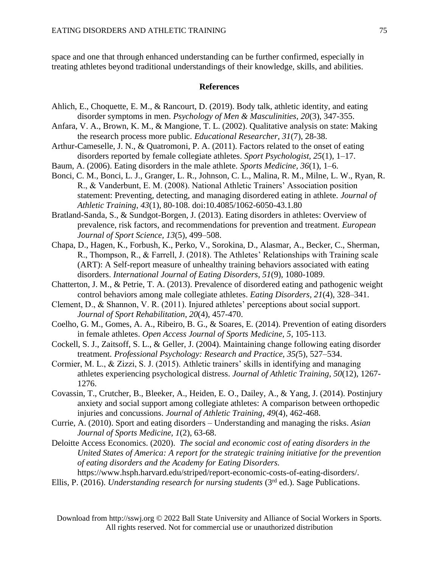space and one that through enhanced understanding can be further confirmed, especially in treating athletes beyond traditional understandings of their knowledge, skills, and abilities.

#### **References**

- Ahlich, E., Choquette, E. M., & Rancourt, D. (2019). Body talk, athletic identity, and eating disorder symptoms in men. *Psychology of Men & Masculinities, 20*(3), 347-355.
- Anfara, V. A., Brown, K. M., & Mangione, T. L. (2002). Qualitative analysis on state: Making the research process more public. *Educational Researcher, 31*(7), 28-38.
- Arthur-Cameselle, J. N., & Quatromoni, P. A. (2011). Factors related to the onset of eating disorders reported by female collegiate athletes. *Sport Psychologist, 25*(1), 1–17.
- Baum, A. (2006). Eating disorders in the male athlete. *Sports Medicine, 36*(1), 1–6.
- Bonci, C. M., Bonci, L. J., Granger, L. R., Johnson, C. L., Malina, R. M., Milne, L. W., Ryan, R. R., & Vanderbunt, E. M. (2008). National Athletic Trainers' Association position statement: Preventing, detecting, and managing disordered eating in athlete. *Journal of Athletic Training*, *43*(1), 80-108. doi:10.4085/1062-6050-43.1.80
- Bratland-Sanda, S., & Sundgot-Borgen, J. (2013). Eating disorders in athletes: Overview of prevalence, risk factors, and recommendations for prevention and treatment. *European Journal of Sport Science, 13*(5), 499–508.
- Chapa, D., Hagen, K., Forbush, K., Perko, V., Sorokina, D., Alasmar, A., Becker, C., Sherman, R., Thompson, R., & Farrell, J. (2018). The Athletes' Relationships with Training scale (ART): A Self-report measure of unhealthy training behaviors associated with eating disorders. *International Journal of Eating Disorders, 51*(9), 1080-1089.
- Chatterton, J. M., & Petrie, T. A. (2013). Prevalence of disordered eating and pathogenic weight control behaviors among male collegiate athletes. *Eating Disorders, 21*(4), 328–341.
- Clement, D., & Shannon, V. R. (2011). Injured athletes' perceptions about social support. *Journal of Sport Rehabilitation*, *20*(4), 457-470.
- Coelho, G. M., Gomes, A. A., Ribeiro, B. G., & Soares, E. (2014). Prevention of eating disorders in female athletes. *Open Access Journal of Sports Medicine, 5*, 105-113.
- Cockell, S. J., Zaitsoff, S. L., & Geller, J. (2004). Maintaining change following eating disorder treatment. *Professional Psychology: Research and Practice, 35(*5), 527–534.
- Cormier, M. L., & Zizzi, S. J. (2015). Athletic trainers' skills in identifying and managing athletes experiencing psychological distress. *Journal of Athletic Training*, *50*(12), 1267- 1276.
- Covassin, T., Crutcher, B., Bleeker, A., Heiden, E. O., Dailey, A., & Yang, J. (2014). Postinjury anxiety and social support among collegiate athletes: A comparison between orthopedic injuries and concussions. *Journal of Athletic Training*, *49*(4), 462-468.
- Currie, A. (2010). Sport and eating disorders Understanding and managing the risks. *Asian Journal of Sports Medicine, 1*(2), 63-68.
- Deloitte Access Economics. (2020). *The social and economic cost of eating disorders in the United States of America: A report for the strategic training initiative for the prevention of eating disorders and the Academy for Eating Disorders.*

https://www.hsph.harvard.edu/striped/report-economic-costs-of-eating-disorders/. Ellis, P. (2016). *Understanding research for nursing students* (3rd ed.). Sage Publications.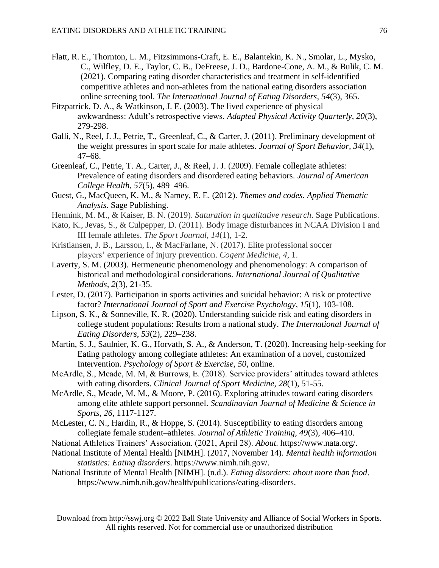- Flatt, R. E., Thornton, L. M., Fitzsimmons-Craft, E. E., Balantekin, K. N., Smolar, L., Mysko, C., Wilfley, D. E., Taylor, C. B., DeFreese, J. D., Bardone-Cone, A. M., & Bulik, C. M. (2021). Comparing eating disorder characteristics and treatment in self-identified competitive athletes and non-athletes from the national eating disorders association online screening tool. *The International Journal of Eating Disorders, 54*(3), 365.
- Fitzpatrick, D. A., & Watkinson, J. E. (2003). The lived experience of physical awkwardness: Adult's retrospective views. *Adapted Physical Activity Quarterly, 20*(3), 279-298.
- Galli, N., Reel, J. J., Petrie, T., Greenleaf, C., & Carter, J. (2011). Preliminary development of the weight pressures in sport scale for male athletes. *Journal of Sport Behavior, 34*(1), 47–68.
- Greenleaf, C., Petrie, T. A., Carter, J., & Reel, J. J. (2009). Female collegiate athletes: Prevalence of eating disorders and disordered eating behaviors. *Journal of American College Health, 57*(5), 489–496.
- Guest, G., MacQueen, K. M., & Namey, E. E. (2012). *Themes and codes. Applied Thematic Analysis*. Sage Publishing.
- Hennink, M. M., & Kaiser, B. N. (2019). *Saturation in qualitative research*. Sage Publications.
- Kato, K., Jevas, S., & Culpepper, D. (2011). Body image disturbances in NCAA Division I and III female athletes. *The Sport Journal, 14*(1), 1-2.
- Kristiansen, J. B., Larsson, I., & MacFarlane, N. (2017). Elite professional soccer players' experience of injury prevention. *Cogent Medicine, 4*, 1.
- Laverty, S. M. (2003). Hermeneutic phenomenology and phenomenology: A comparison of historical and methodological considerations. *International Journal of Qualitative Methods, 2*(3), 21-35.
- Lester, D. (2017). Participation in sports activities and suicidal behavior: A risk or protective factor? *International Journal of Sport and Exercise Psychology*, *15*(1), 103-108.
- Lipson, S. K., & Sonneville, K. R. (2020). Understanding suicide risk and eating disorders in college student populations: Results from a national study. *The International Journal of Eating Disorders*, *53*(2), 229–238.
- Martin, S. J., Saulnier, K. G., Horvath, S. A., & Anderson, T. (2020). Increasing help-seeking for Eating pathology among collegiate athletes: An examination of a novel, customized Intervention. *Psychology of Sport & Exercise, 50*, online.
- McArdle, S., Meade, M. M, & Burrows, E. (2018). Service providers' attitudes toward athletes with eating disorders. *Clinical Journal of Sport Medicine*, *28*(1), 51-55.
- McArdle, S., Meade, M. M., & Moore, P. (2016). Exploring attitudes toward eating disorders among elite athlete support personnel. *Scandinavian Journal of Medicine & Science in Sports*, *26*, 1117-1127.
- McLester, C. N., Hardin, R., & Hoppe, S. (2014). Susceptibility to eating disorders among collegiate female student–athletes. *Journal of Athletic Training, 49*(3), 406–410.
- National Athletics Trainers' Association. (2021, April 28). *About*. https://www.nata.org/.
- National Institute of Mental Health [NIMH]. (2017, November 14). *Mental health information statistics: Eating disorders*. https://www.nimh.nih.gov/.
- National Institute of Mental Health [NIMH]. (n.d.). *Eating disorders: about more than food*. https://www.nimh.nih.gov/health/publications/eating-disorders.